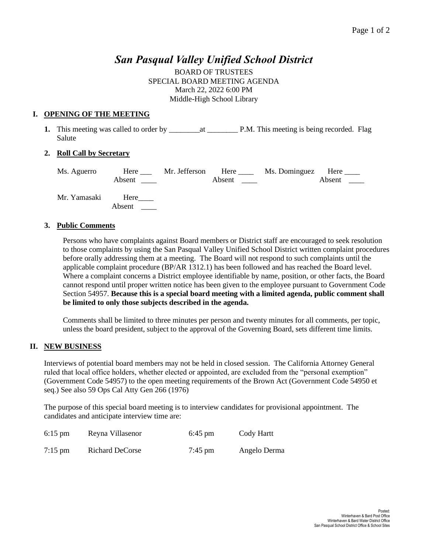# *San Pasqual Valley Unified School District*

BOARD OF TRUSTEES SPECIAL BOARD MEETING AGENDA March 22, 2022 6:00 PM Middle-High School Library

#### **I. OPENING OF THE MEETING**

**1.** This meeting was called to order by \_\_\_\_\_\_\_\_at \_\_\_\_\_\_\_\_ P.M. This meeting is being recorded. Flag Salute

## **2. Roll Call by Secretary**

| Ms. Aguerro  | Here           | Mr. Jefferson | Here   | Ms. Dominguez | Here   |
|--------------|----------------|---------------|--------|---------------|--------|
|              | Absent         |               | Absent |               | Absent |
| Mr. Yamasaki | Here<br>Absent |               |        |               |        |

#### **3. Public Comments**

Persons who have complaints against Board members or District staff are encouraged to seek resolution to those complaints by using the San Pasqual Valley Unified School District written complaint procedures before orally addressing them at a meeting. The Board will not respond to such complaints until the applicable complaint procedure (BP/AR 1312.1) has been followed and has reached the Board level. Where a complaint concerns a District employee identifiable by name, position, or other facts, the Board cannot respond until proper written notice has been given to the employee pursuant to Government Code Section 54957. **Because this is a special board meeting with a limited agenda, public comment shall be limited to only those subjects described in the agenda.** 

Comments shall be limited to three minutes per person and twenty minutes for all comments, per topic, unless the board president, subject to the approval of the Governing Board, sets different time limits.

## **II. NEW BUSINESS**

Interviews of potential board members may not be held in closed session. The California Attorney General ruled that local office holders, whether elected or appointed, are excluded from the "personal exemption" (Government Code 54957) to the open meeting requirements of the Brown Act (Government Code 54950 et seq.) See also 59 Ops Cal Atty Gen 266 (1976)

The purpose of this special board meeting is to interview candidates for provisional appointment. The candidates and anticipate interview time are:

| $6:15$ pm | Reyna Villasenor | $6:45 \text{ pm}$ | Cody Hartt   |
|-----------|------------------|-------------------|--------------|
| $7:15$ pm | Richard DeCorse  | $7:45$ pm         | Angelo Derma |